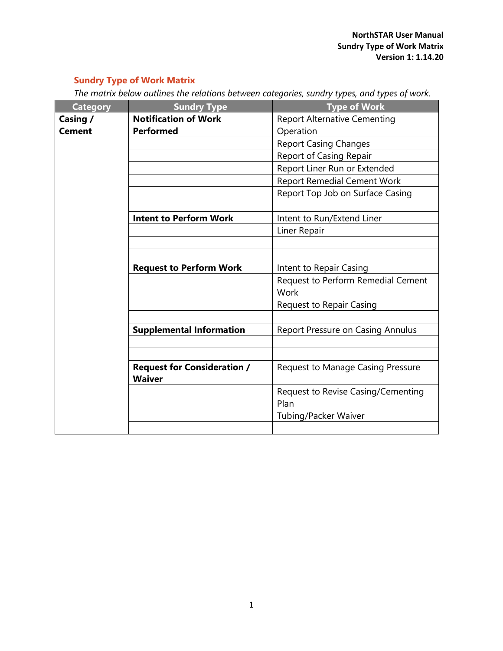## **Sundry Type of Work Matrix**

| The matrix below outlines the relations between categories, sundry types, and types of work. |  |  |  |  |
|----------------------------------------------------------------------------------------------|--|--|--|--|
|                                                                                              |  |  |  |  |

| <b>Category</b> | <b>Sundry Type</b>                                  | <b>Type of Work</b>                        |
|-----------------|-----------------------------------------------------|--------------------------------------------|
| Casing /        | <b>Notification of Work</b>                         | <b>Report Alternative Cementing</b>        |
| <b>Cement</b>   | <b>Performed</b>                                    | Operation                                  |
|                 |                                                     | <b>Report Casing Changes</b>               |
|                 |                                                     | <b>Report of Casing Repair</b>             |
|                 |                                                     | Report Liner Run or Extended               |
|                 |                                                     | <b>Report Remedial Cement Work</b>         |
|                 |                                                     | Report Top Job on Surface Casing           |
|                 |                                                     |                                            |
|                 | <b>Intent to Perform Work</b>                       | Intent to Run/Extend Liner                 |
|                 |                                                     | Liner Repair                               |
|                 |                                                     |                                            |
|                 |                                                     |                                            |
|                 | <b>Request to Perform Work</b>                      | Intent to Repair Casing                    |
|                 |                                                     | Request to Perform Remedial Cement         |
|                 |                                                     | Work                                       |
|                 |                                                     | <b>Request to Repair Casing</b>            |
|                 |                                                     |                                            |
|                 | <b>Supplemental Information</b>                     | Report Pressure on Casing Annulus          |
|                 |                                                     |                                            |
|                 |                                                     |                                            |
|                 | <b>Request for Consideration /</b><br><b>Waiver</b> | <b>Request to Manage Casing Pressure</b>   |
|                 |                                                     |                                            |
|                 |                                                     | Request to Revise Casing/Cementing<br>Plan |
|                 |                                                     | Tubing/Packer Waiver                       |
|                 |                                                     |                                            |
|                 |                                                     |                                            |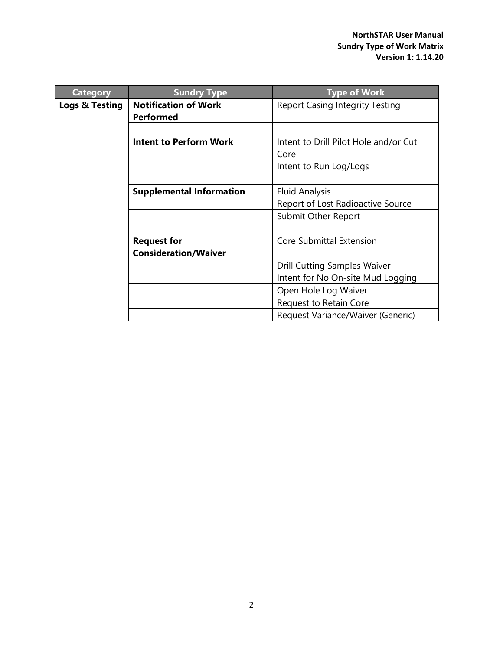| <b>Category</b> | <b>Sundry Type</b>                              | <b>Type of Work</b>                    |
|-----------------|-------------------------------------------------|----------------------------------------|
| Logs & Testing  | <b>Notification of Work</b><br><b>Performed</b> | <b>Report Casing Integrity Testing</b> |
|                 |                                                 |                                        |
|                 | <b>Intent to Perform Work</b>                   | Intent to Drill Pilot Hole and/or Cut  |
|                 |                                                 | Core                                   |
|                 |                                                 | Intent to Run Log/Logs                 |
|                 |                                                 |                                        |
|                 | <b>Supplemental Information</b>                 | <b>Fluid Analysis</b>                  |
|                 |                                                 | Report of Lost Radioactive Source      |
|                 |                                                 | Submit Other Report                    |
|                 |                                                 |                                        |
|                 | <b>Request for</b>                              | Core Submittal Extension               |
|                 | <b>Consideration/Waiver</b>                     |                                        |
|                 |                                                 | <b>Drill Cutting Samples Waiver</b>    |
|                 |                                                 | Intent for No On-site Mud Logging      |
|                 |                                                 | Open Hole Log Waiver                   |
|                 |                                                 | Request to Retain Core                 |
|                 |                                                 | Request Variance/Waiver (Generic)      |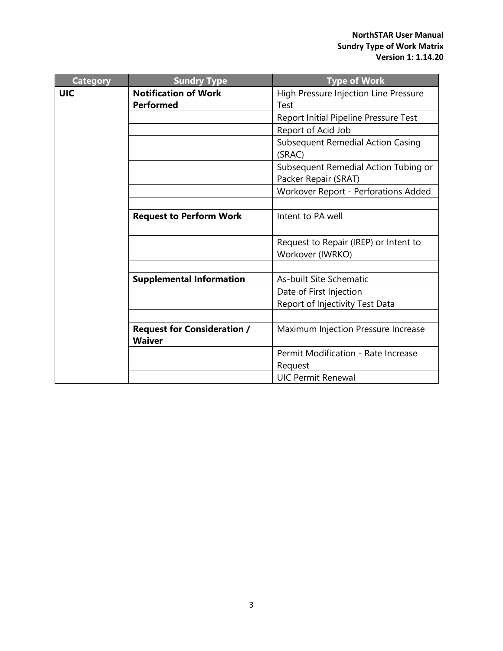| <b>Category</b> | <b>Sundry Type</b>                 | <b>Type of Work</b>                                       |
|-----------------|------------------------------------|-----------------------------------------------------------|
| <b>UIC</b>      | <b>Notification of Work</b>        | High Pressure Injection Line Pressure                     |
|                 | <b>Performed</b>                   | Test                                                      |
|                 |                                    | Report Initial Pipeline Pressure Test                     |
|                 |                                    | Report of Acid Job                                        |
|                 |                                    | <b>Subsequent Remedial Action Casing</b><br>(SRAC)        |
|                 |                                    | Subsequent Remedial Action Tubing or                      |
|                 |                                    | Packer Repair (SRAT)                                      |
|                 |                                    | Workover Report - Perforations Added                      |
|                 | <b>Request to Perform Work</b>     | Intent to PA well                                         |
|                 |                                    | Request to Repair (IREP) or Intent to<br>Workover (IWRKO) |
|                 |                                    |                                                           |
|                 | <b>Supplemental Information</b>    | As-built Site Schematic                                   |
|                 |                                    | Date of First Injection                                   |
|                 |                                    | Report of Injectivity Test Data                           |
|                 |                                    |                                                           |
|                 | <b>Request for Consideration /</b> | Maximum Injection Pressure Increase                       |
|                 | <b>Waiver</b>                      |                                                           |
|                 |                                    | Permit Modification - Rate Increase                       |
|                 |                                    | Request                                                   |
|                 |                                    | <b>UIC Permit Renewal</b>                                 |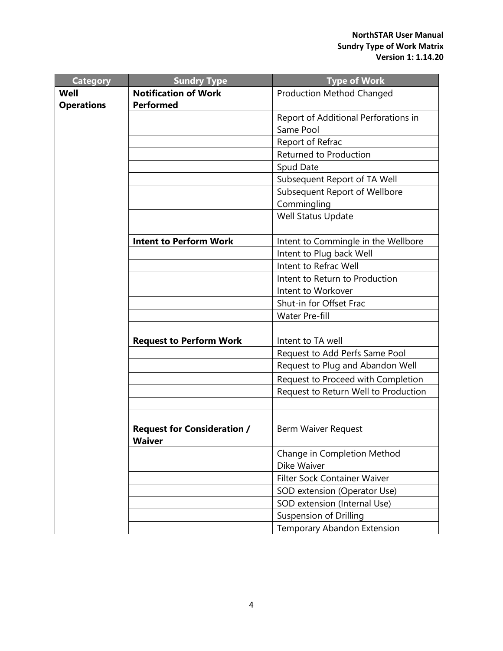| <b>Category</b>   | <b>Sundry Type</b>                 | <b>Type of Work</b>                  |
|-------------------|------------------------------------|--------------------------------------|
| Well              | <b>Notification of Work</b>        | <b>Production Method Changed</b>     |
| <b>Operations</b> | <b>Performed</b>                   |                                      |
|                   |                                    | Report of Additional Perforations in |
|                   |                                    | Same Pool                            |
|                   |                                    | Report of Refrac                     |
|                   |                                    | <b>Returned to Production</b>        |
|                   |                                    | Spud Date                            |
|                   |                                    | Subsequent Report of TA Well         |
|                   |                                    | Subsequent Report of Wellbore        |
|                   |                                    | Commingling                          |
|                   |                                    | Well Status Update                   |
|                   |                                    |                                      |
|                   | <b>Intent to Perform Work</b>      | Intent to Commingle in the Wellbore  |
|                   |                                    | Intent to Plug back Well             |
|                   |                                    | Intent to Refrac Well                |
|                   |                                    | Intent to Return to Production       |
|                   |                                    | Intent to Workover                   |
|                   |                                    | Shut-in for Offset Frac              |
|                   |                                    | <b>Water Pre-fill</b>                |
|                   |                                    |                                      |
|                   | <b>Request to Perform Work</b>     | Intent to TA well                    |
|                   |                                    | Request to Add Perfs Same Pool       |
|                   |                                    | Request to Plug and Abandon Well     |
|                   |                                    | Request to Proceed with Completion   |
|                   |                                    | Request to Return Well to Production |
|                   |                                    |                                      |
|                   |                                    |                                      |
|                   | <b>Request for Consideration /</b> | Berm Waiver Request                  |
|                   | <b>Waiver</b>                      |                                      |
|                   |                                    | Change in Completion Method          |
|                   |                                    | Dike Waiver                          |
|                   |                                    | Filter Sock Container Waiver         |
|                   |                                    | SOD extension (Operator Use)         |
|                   |                                    | SOD extension (Internal Use)         |
|                   |                                    | <b>Suspension of Drilling</b>        |
|                   |                                    | Temporary Abandon Extension          |